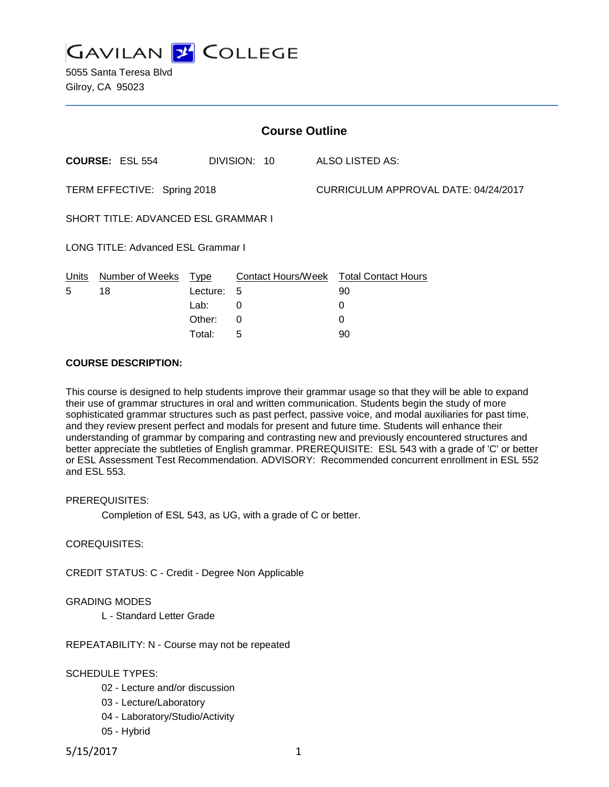

| <b>Course Outline</b>               |                        |          |              |                                      |                                        |
|-------------------------------------|------------------------|----------|--------------|--------------------------------------|----------------------------------------|
|                                     | <b>COURSE: ESL 554</b> |          | DIVISION: 10 |                                      | ALSO LISTED AS:                        |
| TERM EFFECTIVE: Spring 2018         |                        |          |              | CURRICULUM APPROVAL DATE: 04/24/2017 |                                        |
| SHORT TITLE: ADVANCED ESL GRAMMAR I |                        |          |              |                                      |                                        |
| LONG TITLE: Advanced ESL Grammar I  |                        |          |              |                                      |                                        |
| Units                               | Number of Weeks        | Type     |              |                                      | Contact Hours/Week Total Contact Hours |
| 5                                   | 18                     | Lecture: | 5            |                                      | 90                                     |
|                                     |                        | Lab:     | 0            |                                      | 0                                      |
|                                     |                        | Other:   | $\Omega$     |                                      | 0                                      |
|                                     |                        | Total:   | 5            |                                      | 90                                     |

#### **COURSE DESCRIPTION:**

This course is designed to help students improve their grammar usage so that they will be able to expand their use of grammar structures in oral and written communication. Students begin the study of more sophisticated grammar structures such as past perfect, passive voice, and modal auxiliaries for past time, and they review present perfect and modals for present and future time. Students will enhance their understanding of grammar by comparing and contrasting new and previously encountered structures and better appreciate the subtleties of English grammar. PREREQUISITE: ESL 543 with a grade of 'C' or better or ESL Assessment Test Recommendation. ADVISORY: Recommended concurrent enrollment in ESL 552 and ESL 553.

PREREQUISITES:

Completion of ESL 543, as UG, with a grade of C or better.

COREQUISITES:

CREDIT STATUS: C - Credit - Degree Non Applicable

#### GRADING MODES

L - Standard Letter Grade

REPEATABILITY: N - Course may not be repeated

SCHEDULE TYPES:

- 02 Lecture and/or discussion
- 03 Lecture/Laboratory
- 04 Laboratory/Studio/Activity
- 05 Hybrid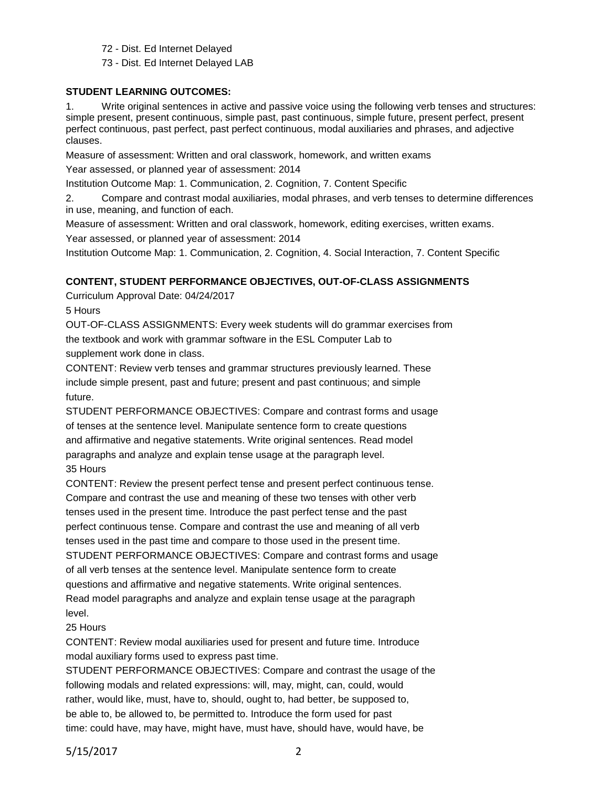72 - Dist. Ed Internet Delayed

73 - Dist. Ed Internet Delayed LAB

#### **STUDENT LEARNING OUTCOMES:**

1. Write original sentences in active and passive voice using the following verb tenses and structures: simple present, present continuous, simple past, past continuous, simple future, present perfect, present perfect continuous, past perfect, past perfect continuous, modal auxiliaries and phrases, and adjective clauses.

Measure of assessment: Written and oral classwork, homework, and written exams

Year assessed, or planned year of assessment: 2014

Institution Outcome Map: 1. Communication, 2. Cognition, 7. Content Specific

2. Compare and contrast modal auxiliaries, modal phrases, and verb tenses to determine differences in use, meaning, and function of each.

Measure of assessment: Written and oral classwork, homework, editing exercises, written exams.

Year assessed, or planned year of assessment: 2014

Institution Outcome Map: 1. Communication, 2. Cognition, 4. Social Interaction, 7. Content Specific

# **CONTENT, STUDENT PERFORMANCE OBJECTIVES, OUT-OF-CLASS ASSIGNMENTS**

Curriculum Approval Date: 04/24/2017

5 Hours

OUT-OF-CLASS ASSIGNMENTS: Every week students will do grammar exercises from the textbook and work with grammar software in the ESL Computer Lab to supplement work done in class.

CONTENT: Review verb tenses and grammar structures previously learned. These include simple present, past and future; present and past continuous; and simple future.

STUDENT PERFORMANCE OBJECTIVES: Compare and contrast forms and usage of tenses at the sentence level. Manipulate sentence form to create questions and affirmative and negative statements. Write original sentences. Read model paragraphs and analyze and explain tense usage at the paragraph level. 35 Hours

CONTENT: Review the present perfect tense and present perfect continuous tense. Compare and contrast the use and meaning of these two tenses with other verb tenses used in the present time. Introduce the past perfect tense and the past perfect continuous tense. Compare and contrast the use and meaning of all verb tenses used in the past time and compare to those used in the present time. STUDENT PERFORMANCE OBJECTIVES: Compare and contrast forms and usage of all verb tenses at the sentence level. Manipulate sentence form to create questions and affirmative and negative statements. Write original sentences. Read model paragraphs and analyze and explain tense usage at the paragraph level.

# 25 Hours

CONTENT: Review modal auxiliaries used for present and future time. Introduce modal auxiliary forms used to express past time.

STUDENT PERFORMANCE OBJECTIVES: Compare and contrast the usage of the following modals and related expressions: will, may, might, can, could, would rather, would like, must, have to, should, ought to, had better, be supposed to, be able to, be allowed to, be permitted to. Introduce the form used for past time: could have, may have, might have, must have, should have, would have, be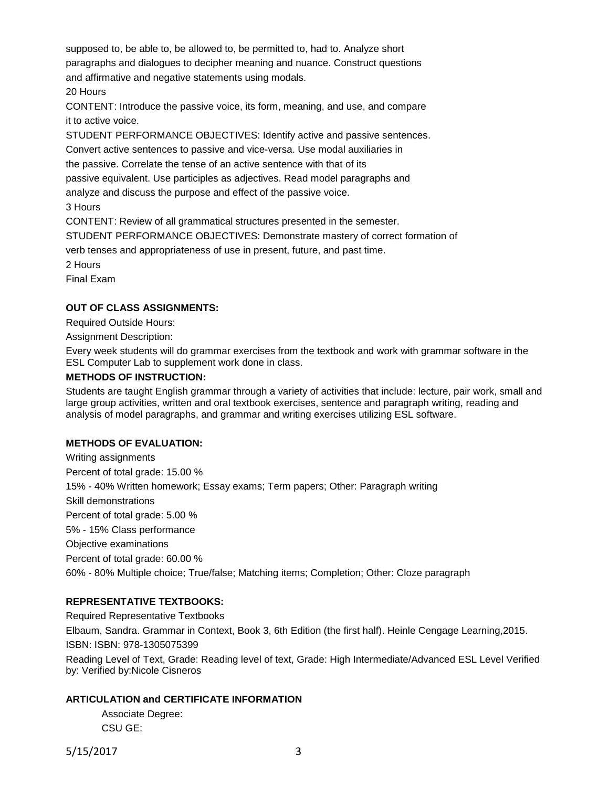supposed to, be able to, be allowed to, be permitted to, had to. Analyze short paragraphs and dialogues to decipher meaning and nuance. Construct questions and affirmative and negative statements using modals. 20 Hours

CONTENT: Introduce the passive voice, its form, meaning, and use, and compare it to active voice.

STUDENT PERFORMANCE OBJECTIVES: Identify active and passive sentences.

Convert active sentences to passive and vice-versa. Use modal auxiliaries in

the passive. Correlate the tense of an active sentence with that of its

passive equivalent. Use participles as adjectives. Read model paragraphs and

analyze and discuss the purpose and effect of the passive voice.

3 Hours

CONTENT: Review of all grammatical structures presented in the semester.

STUDENT PERFORMANCE OBJECTIVES: Demonstrate mastery of correct formation of

verb tenses and appropriateness of use in present, future, and past time.

2 Hours

Final Exam

# **OUT OF CLASS ASSIGNMENTS:**

Required Outside Hours:

Assignment Description:

Every week students will do grammar exercises from the textbook and work with grammar software in the ESL Computer Lab to supplement work done in class.

# **METHODS OF INSTRUCTION:**

Students are taught English grammar through a variety of activities that include: lecture, pair work, small and large group activities, written and oral textbook exercises, sentence and paragraph writing, reading and analysis of model paragraphs, and grammar and writing exercises utilizing ESL software.

# **METHODS OF EVALUATION:**

Writing assignments Percent of total grade: 15.00 % 15% - 40% Written homework; Essay exams; Term papers; Other: Paragraph writing Skill demonstrations Percent of total grade: 5.00 % 5% - 15% Class performance Objective examinations Percent of total grade: 60.00 % 60% - 80% Multiple choice; True/false; Matching items; Completion; Other: Cloze paragraph

# **REPRESENTATIVE TEXTBOOKS:**

Required Representative Textbooks Elbaum, Sandra. Grammar in Context, Book 3, 6th Edition (the first half). Heinle Cengage Learning,2015. ISBN: ISBN: 978-1305075399 Reading Level of Text, Grade: Reading level of text, Grade: High Intermediate/Advanced ESL Level Verified by: Verified by:Nicole Cisneros

# **ARTICULATION and CERTIFICATE INFORMATION**

Associate Degree: CSU GE:

5/15/2017 3